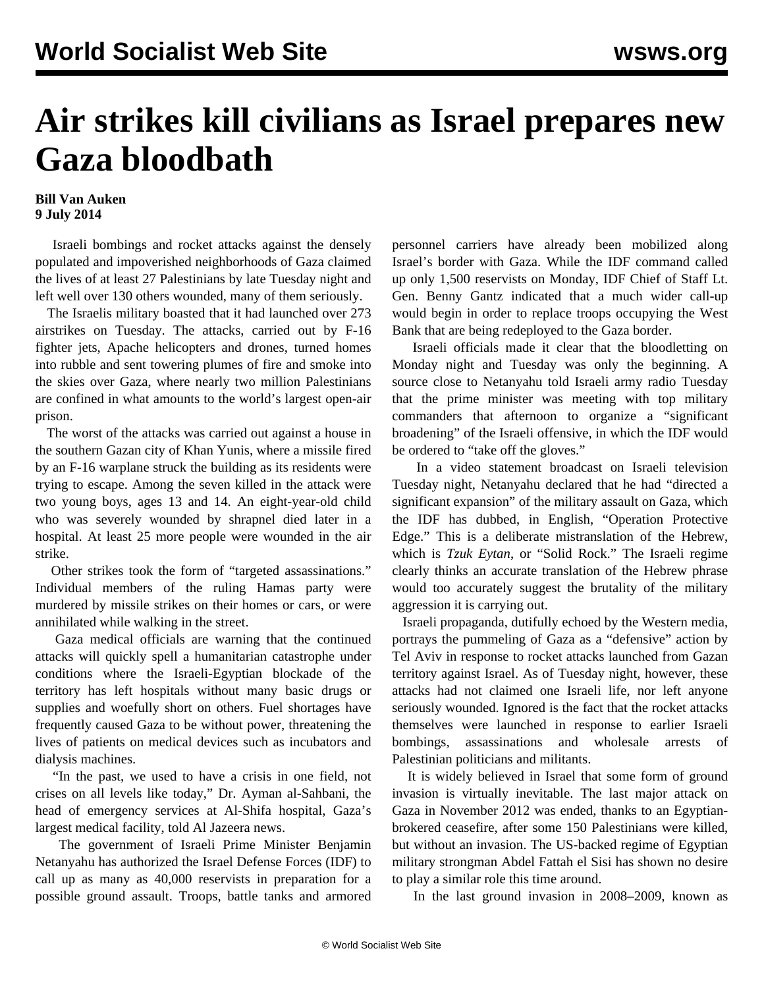## **Air strikes kill civilians as Israel prepares new Gaza bloodbath**

## **Bill Van Auken 9 July 2014**

 Israeli bombings and rocket attacks against the densely populated and impoverished neighborhoods of Gaza claimed the lives of at least 27 Palestinians by late Tuesday night and left well over 130 others wounded, many of them seriously.

 The Israelis military boasted that it had launched over 273 airstrikes on Tuesday. The attacks, carried out by F-16 fighter jets, Apache helicopters and drones, turned homes into rubble and sent towering plumes of fire and smoke into the skies over Gaza, where nearly two million Palestinians are confined in what amounts to the world's largest open-air prison.

 The worst of the attacks was carried out against a house in the southern Gazan city of Khan Yunis, where a missile fired by an F-16 warplane struck the building as its residents were trying to escape. Among the seven killed in the attack were two young boys, ages 13 and 14. An eight-year-old child who was severely wounded by shrapnel died later in a hospital. At least 25 more people were wounded in the air strike.

 Other strikes took the form of "targeted assassinations." Individual members of the ruling Hamas party were murdered by missile strikes on their homes or cars, or were annihilated while walking in the street.

 Gaza medical officials are warning that the continued attacks will quickly spell a humanitarian catastrophe under conditions where the Israeli-Egyptian blockade of the territory has left hospitals without many basic drugs or supplies and woefully short on others. Fuel shortages have frequently caused Gaza to be without power, threatening the lives of patients on medical devices such as incubators and dialysis machines.

 "In the past, we used to have a crisis in one field, not crises on all levels like today," Dr. Ayman al-Sahbani, the head of emergency services at Al-Shifa hospital, Gaza's largest medical facility, told Al Jazeera news.

 The government of Israeli Prime Minister Benjamin Netanyahu has authorized the Israel Defense Forces (IDF) to call up as many as 40,000 reservists in preparation for a possible ground assault. Troops, battle tanks and armored personnel carriers have already been mobilized along Israel's border with Gaza. While the IDF command called up only 1,500 reservists on Monday, IDF Chief of Staff Lt. Gen. Benny Gantz indicated that a much wider call-up would begin in order to replace troops occupying the West Bank that are being redeployed to the Gaza border.

 Israeli officials made it clear that the bloodletting on Monday night and Tuesday was only the beginning. A source close to Netanyahu told Israeli army radio Tuesday that the prime minister was meeting with top military commanders that afternoon to organize a "significant broadening" of the Israeli offensive, in which the IDF would be ordered to "take off the gloves."

 In a video statement broadcast on Israeli television Tuesday night, Netanyahu declared that he had "directed a significant expansion" of the military assault on Gaza, which the IDF has dubbed, in English, "Operation Protective Edge." This is a deliberate mistranslation of the Hebrew, which is *Tzuk Eytan*, or "Solid Rock." The Israeli regime clearly thinks an accurate translation of the Hebrew phrase would too accurately suggest the brutality of the military aggression it is carrying out.

 Israeli propaganda, dutifully echoed by the Western media, portrays the pummeling of Gaza as a "defensive" action by Tel Aviv in response to rocket attacks launched from Gazan territory against Israel. As of Tuesday night, however, these attacks had not claimed one Israeli life, nor left anyone seriously wounded. Ignored is the fact that the rocket attacks themselves were launched in response to earlier Israeli bombings, assassinations and wholesale arrests of Palestinian politicians and militants.

 It is widely believed in Israel that some form of ground invasion is virtually inevitable. The last major attack on Gaza in November 2012 was ended, thanks to an Egyptianbrokered ceasefire, after some 150 Palestinians were killed, but without an invasion. The US-backed regime of Egyptian military strongman Abdel Fattah el Sisi has shown no desire to play a similar role this time around.

In the last ground invasion in 2008–2009, known as